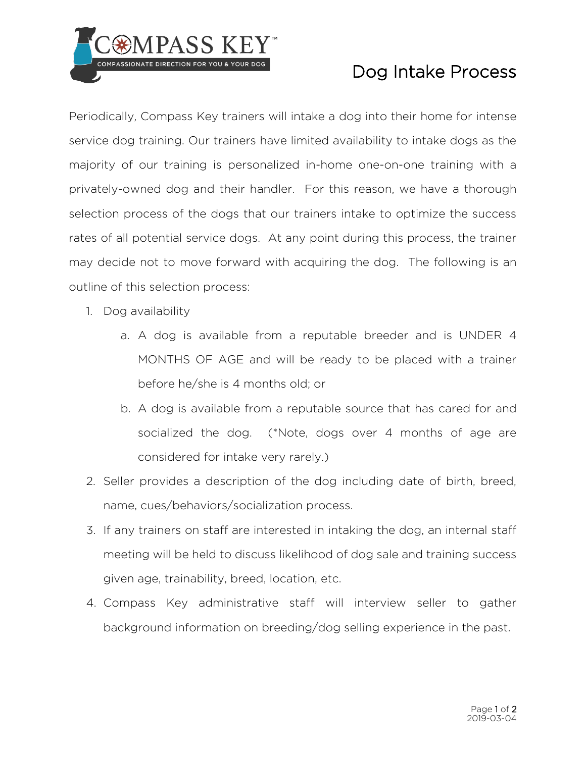

## Dog Intake Process

Periodically, Compass Key trainers will intake a dog into their home for intense service dog training. Our trainers have limited availability to intake dogs as the majority of our training is personalized in-home one-on-one training with a privately-owned dog and their handler. For this reason, we have a thorough selection process of the dogs that our trainers intake to optimize the success rates of all potential service dogs. At any point during this process, the trainer may decide not to move forward with acquiring the dog. The following is an outline of this selection process:

- 1. Dog availability
	- a. A dog is available from a reputable breeder and is UNDER 4 MONTHS OF AGE and will be ready to be placed with a trainer before he/she is 4 months old; or
	- b. A dog is available from a reputable source that has cared for and socialized the dog. (\*Note, dogs over 4 months of age are considered for intake very rarely.)
- 2. Seller provides a description of the dog including date of birth, breed, name, cues/behaviors/socialization process.
- 3. If any trainers on staff are interested in intaking the dog, an internal staff meeting will be held to discuss likelihood of dog sale and training success given age, trainability, breed, location, etc.
- 4. Compass Key administrative staff will interview seller to gather background information on breeding/dog selling experience in the past.